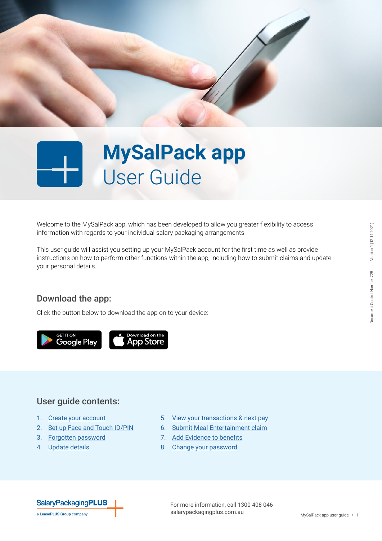

# **MySalPack app** User Guide

Welcome to the MySalPack app, which has been developed to allow you greater flexibility to access information with regards to your individual salary packaging arrangements.

This user guide will assist you setting up your MySalPack account for the first time as well as provide instructions on how to perform other functions within the app, including how to submit claims and update your personal details.

#### Download the app:

Click the button below to download the app on to your device:

**GET IT ON** Google Play



#### User guide contents:

- 1. [Create your account](#page-1-0)
- 2. [Set up Face and Touch ID/](#page-1-1)PIN
- 3. [Forgotten password](#page-2-0)
- 4. [Update details](#page-2-1)
- 5. [View your transactions & next pay](#page-3-0)
- 6. [Submit Meal Entertainment claim](#page-3-1)
- 7. [Add Evidence to benefits](#page-4-0)
- 8. [Change your password](#page-4-1)

# **SalaryPackagingPLUS**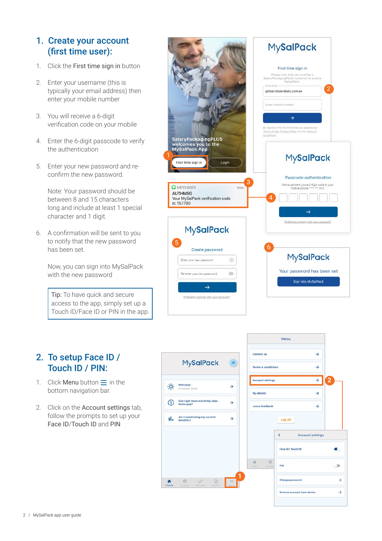# <span id="page-1-0"></span>1. Create your account (first time user):

- 1. Click the First time sign in button
- 2. Enter your username (this is typically your email address) then enter your mobile number
- 3. You will receive a 6-digit verification code on your mobile
- 4. Enter the 6-digit passcode to verify the authentication
- 5. Enter your new password and reconfirm the new password.

Note: Your password should be between 8 and 15 characters long and include at least 1 special character and 1 digit.

6. A confirmation will be sent to you to notify that the new password has been set.

> Now, you can sign into MySalPack with the new password

Tip: To have quick and secure access to the app, simply set up a Touch ID/Face ID or PIN in the app.



## <span id="page-1-1"></span>2. To setup Face ID / Touch ID / PIN:

- 1. Click Menu button  $\equiv$  in the bottom navigation bar.
- 2. Click on the Account settings tab, follow the prompts to set up your Face ID/Touch ID and PIN

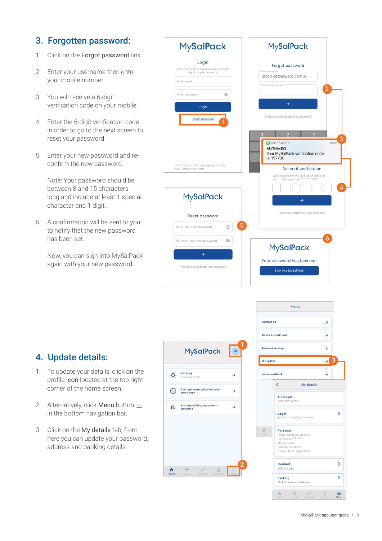# <span id="page-2-0"></span>3. Forgotten password:

- 1. Click on the Forgot password link.
- 2. Enter your username then enter your mobile number.
- 3. You will receive a 6-digit verification code on your mobile.
- 4. Enter the 6-digit verification code in order to go to the next screen to reset your password.
- 5. Enter your new password and reconfirm the new password.

Note: Your password should be between 8 and 15 characters long and include at least 1 special character and 1 digit.

6. A confirmation will be sent to you to notify that the new password has been set.

> Now, you can sign into MySalPack again with your new password.

| <b>MySalPack</b>                                                      | <b>MySalPack</b>                                                        |
|-----------------------------------------------------------------------|-------------------------------------------------------------------------|
| Login<br>Use your existing email and password to                      | Forgot password<br>Enter username                                       |
| sign into your account.<br>Enter email                                | global.citizen@abc.com.au                                               |
|                                                                       | Enter mobile number<br>$\overline{2}$                                   |
| È<br>Enter password                                                   | →                                                                       |
| Login                                                                 | Problems signing into your account?                                     |
| Forgot password                                                       |                                                                         |
|                                                                       | $\overline{2}$<br>3<br>3                                                |
|                                                                       | <b>Q</b> MESSAGES<br>now<br><b>AUTHMSG</b>                              |
|                                                                       | Your MySalPack verification code<br>is: 157780                          |
| If this is your first time signing into the<br>App, please click here | <b>Account verification</b>                                             |
|                                                                       | We've just sent you a 6-digit code to<br>your mobile phone **** *** 477 |
|                                                                       | $\overline{4}$                                                          |
| <b>MySalPack</b>                                                      | $\rightarrow$                                                           |
| Reset password                                                        | Problems signing into your account?                                     |
| $\overline{5}$<br>$\circledcirc$<br>Enter your new password           |                                                                         |
| È<br>Re-enter your new password                                       | 6                                                                       |
| $\rightarrow$                                                         | <b>MySalPack</b>                                                        |
|                                                                       | Your password has been set                                              |
| Problems signing into your account?                                   |                                                                         |

# <span id="page-2-1"></span>4. Update details:

- 1. To update your details, click on the profile icon located at the top right corner of the home screen.
- 2. Alternatively, click Menu button  $\equiv$ in the bottom navigation bar.
- 3. Click on the My details tab, from here you can update your password, address and banking details.



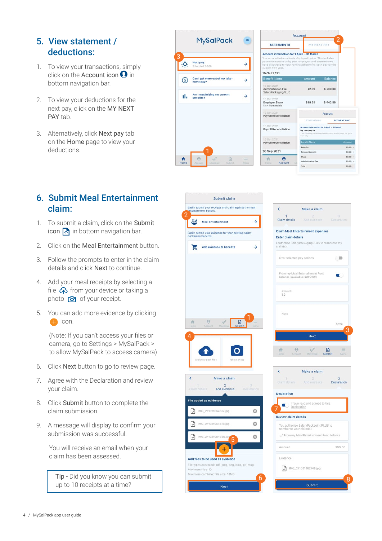#### <span id="page-3-0"></span>5. View statement / deductions:

- 1. To view your transactions, simply click on the Account icon  $\Omega$  in bottom navigation bar.
- 2. To view your deductions for the next pay, click on the MY NEXT PAY tab.
- 3. Alternatively, click Next pay tab on the Home page to view your deductions.

|      |                                             |               |                                                                                                                                                                                                                                                                           | Account                                                                                                                                    |                 |
|------|---------------------------------------------|---------------|---------------------------------------------------------------------------------------------------------------------------------------------------------------------------------------------------------------------------------------------------------------------------|--------------------------------------------------------------------------------------------------------------------------------------------|-----------------|
|      | <b>MySalPack</b>                            | <b>JB</b>     | <b>STATEMENTS</b>                                                                                                                                                                                                                                                         | MY NEXT PAY                                                                                                                                |                 |
|      | Next pay:<br>Scheduled: \$0.00              | →             | <b>Account information for 1 April - 31 March</b><br>You account information is displayed below. This includes<br>payments sent to us by your employer, and payments we<br>have disbursed to your nominated benefits each pay for the<br>current FBT year.<br>15 Oct 2021 |                                                                                                                                            |                 |
| G    | Can I get more out of my take-<br>home pay? | $\rightarrow$ | <b>Benefit Name</b>                                                                                                                                                                                                                                                       | Amount                                                                                                                                     | <b>Balance</b>  |
|      | Am I maximising my current                  |               | 15 Oct 2021<br>Administration Fee<br>SalaryPackagingPLUS                                                                                                                                                                                                                  | \$2.59                                                                                                                                     | $$-700.00$      |
| ıl.  | benefits?                                   | →             | 15 Oct 2021<br><b>Employer Share</b><br>Non Remittable                                                                                                                                                                                                                    | \$99.55                                                                                                                                    | $$-702.59$      |
|      |                                             |               | 15 Oct 2021<br><b>Payroll Reconciliation</b>                                                                                                                                                                                                                              |                                                                                                                                            | Account         |
|      |                                             |               | 15 Oct 2021<br><b>Payroll Reconciliation</b>                                                                                                                                                                                                                              | <b>STATEMENTS</b><br>Account information for 1 April - 31 Marc<br>My next pay: 0<br>The following scheduled deductions are in<br>next pay. | MY <sub>N</sub> |
|      |                                             |               | 15 Oct 2021<br><b>Payroll Reconciliation</b>                                                                                                                                                                                                                              | Benefit Name                                                                                                                               |                 |
|      |                                             |               | 28 Sep 2021                                                                                                                                                                                                                                                               | <b>Benefits</b>                                                                                                                            |                 |
|      |                                             |               |                                                                                                                                                                                                                                                                           | Novated Leasing                                                                                                                            |                 |
| Ħ    | $\Theta$<br>$\sqrt{2}$<br>$\sqrt{2}$        | $\equiv$      | $\boldsymbol{\Theta}$                                                                                                                                                                                                                                                     | Share<br>Administration Fee                                                                                                                |                 |
| Home | Submit<br>Maximise.<br>Account              | Monu          | Account<br><b>Home</b>                                                                                                                                                                                                                                                    | 3.31                                                                                                                                       |                 |

# <span id="page-3-1"></span>6. Submit Meal Entertainment claim:

- 1. To submit a claim, click on the Submit icon  $\boxed{\uparrow}$  in bottom navigation bar.
- 2. Click on the Meal Entertainment button.
- 3. Follow the prompts to enter in the claim details and click Next to continue.
- 4. Add your meal receipts by selecting a file  $\bigodot$  from your device or taking a photo  $\bigcirc$  of your receipt.
- 5. You can add more evidence by clicking con.

(Note: If you can't access your files or camera, go to Settings > MySalPack > to allow MySalPack to access camera)

- 6. Click Next button to go to review page.
- 7. Agree with the Declaration and review your claim.
- 8. Click Submit button to complete the claim submission.
- 9. A message will display to confirm your submission was successful.

You will receive an email when your claim has been assessed.

Tip - Did you know you can submit up to 10 receipts at a time?





NEVT PAY i.

> $\overline{a}$ \$0.00  $$0.00$  >  $0000$

| 斉<br>Home                   | А<br>m<br>v.<br>Submit<br>Maximise<br>Account                    | ≕<br>Monu |
|-----------------------------|------------------------------------------------------------------|-----------|
| k                           | Make a claim                                                     |           |
|                             | 2<br>Claim details Add evidence Declaration                      | з         |
|                             |                                                                  |           |
| <b>Declaration</b>          |                                                                  |           |
|                             | I have read and agreed to this<br>Declaration                    |           |
| <b>Review claim details</b> |                                                                  |           |
|                             | You authorise SalaryPackagingPLUS to<br>reimburse your claim(s): |           |
|                             | From my Meal Entertainment Fund balance                          |           |
| Amount                      |                                                                  | \$50.00   |
| Evidence                    |                                                                  |           |